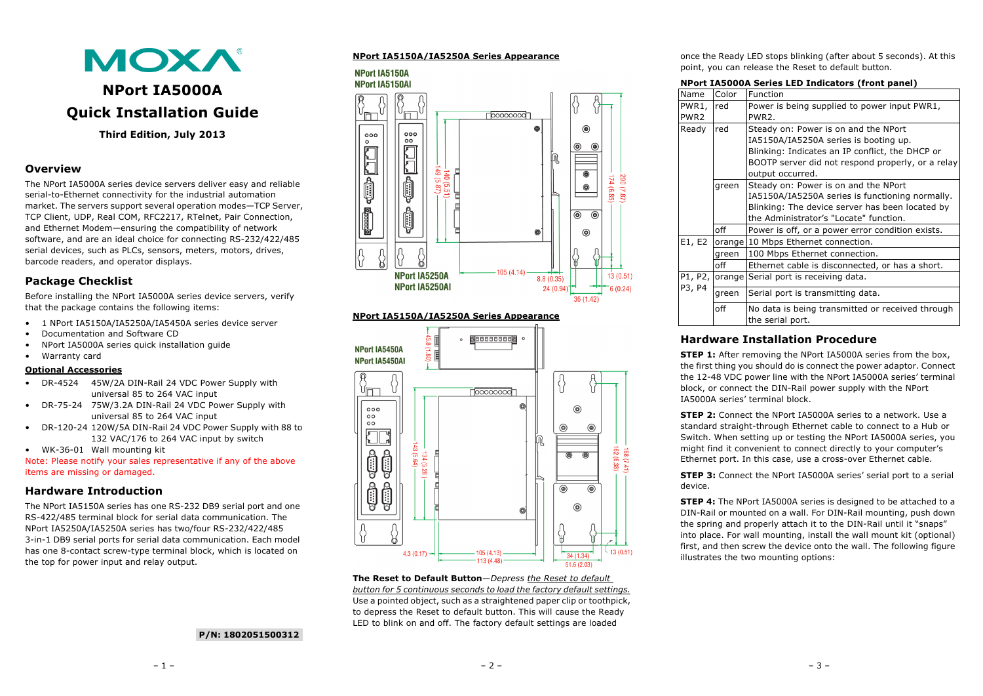

# **NPort IA5000A Quick Installation Guide**

**Third Edition, July 2013**

# **Overview**

The NPort IA5000A series device servers deliver easy and reliable serial-to-Ethernet connectivity for the industrial automation market. The servers support several operation modes—TCP Server, TCP Client, UDP, Real COM, RFC2217, RTelnet, Pair Connection, and Ethernet Modem—ensuring the compatibility of network software, and are an ideal choice for connecting RS-232/422/485 serial devices, such as PLCs, sensors, meters, motors, drives, barcode readers, and operator displays.

# **Package Checklist**

Before installing the NPort IA5000A series device servers, verify that the package contains the following items:

- 1 NPort IA5150A/IA5250A/IA5450A series device server
- Documentation and Software CD
- NPort IA5000A series quick installation guide
- Warranty card

### **Optional Accessories**

- DR-4524 45W/2A DIN-Rail 24 VDC Power Supply with universal 85 to 264 VAC input
- DR-75-24 75W/3.2A DIN-Rail 24 VDC Power Supply with universal 85 to 264 VAC input
- DR-120-24 120W/5A DIN-Rail 24 VDC Power Supply with 88 to 132 VAC/176 to 264 VAC input by switch

• WK-36-01 Wall mounting kit

Note: Please notify your sales representative if any of the above items are missing or damaged.

# **Hardware Introduction**

The NPort IA5150A series has one RS-232 DB9 serial port and one RS-422/485 terminal block for serial data communication. The NPort IA5250A/IA5250A series has two/four RS-232/422/485 3-in-1 DB9 serial ports for serial data communication. Each model has one 8-contact screw-type terminal block, which is located on the top for power input and relay output.

# **NPort IA5150A/IA5250A Series Appearance**

NPort 1A5150A



### **NPort IA5150A/IA5250A Series Appearance**



**The Reset to Default Button**—*Depress the Reset to default button for 5 continuous seconds to load the factory default settings.*  Use a pointed object, such as a straightened paper clip or toothpick, to depress the Reset to default button. This will cause the Ready LED to blink on and off. The factory default settings are loaded

once the Ready LED stops blinking (after about 5 seconds). At this point, you can release the Reset to default button.

### **NPort IA5000A Series LED Indicators (front panel)**

| Name                      | Color | Function                                                                                                                                                                                                  |
|---------------------------|-------|-----------------------------------------------------------------------------------------------------------------------------------------------------------------------------------------------------------|
| PWR1,<br>PWR <sub>2</sub> | red   | Power is being supplied to power input PWR1,<br>PWR2.                                                                                                                                                     |
| Ready                     | red   | Steady on: Power is on and the NPort<br>IA5150A/IA5250A series is booting up.<br>Blinking: Indicates an IP conflict, the DHCP or<br>BOOTP server did not respond properly, or a relay<br>output occurred. |
|                           | green | Steady on: Power is on and the NPort<br>IA5150A/IA5250A series is functioning normally.<br>Blinking: The device server has been located by<br>the Administrator's "Locate" function.                      |
|                           | off   | Power is off, or a power error condition exists.                                                                                                                                                          |
| E1, E2                    |       | orange 10 Mbps Ethernet connection.                                                                                                                                                                       |
|                           | green | 100 Mbps Ethernet connection.                                                                                                                                                                             |
|                           | off   | Ethernet cable is disconnected, or has a short.                                                                                                                                                           |
| P1, P2,<br>P3, P4         |       | orange Serial port is receiving data.                                                                                                                                                                     |
|                           | green | Serial port is transmitting data.                                                                                                                                                                         |
|                           | off   | No data is being transmitted or received through<br>the serial port.                                                                                                                                      |

# **Hardware Installation Procedure**

**STEP 1:** After removing the NPort IA5000A series from the box. the first thing you should do is connect the power adaptor. Connect the 12-48 VDC power line with the NPort IA5000A series' terminal block, or connect the DIN-Rail power supply with the NPort IA5000A series' terminal block.

**STEP 2:** Connect the NPort IA5000A series to a network. Use a standard straight-through Ethernet cable to connect to a Hub or Switch. When setting up or testing the NPort IA5000A series, you might find it convenient to connect directly to your computer's Ethernet port. In this case, use a cross-over Ethernet cable.

**STEP 3:** Connect the NPort IA5000A series' serial port to a serial device.

**STEP 4:** The NPort IA5000A series is designed to be attached to a DIN-Rail or mounted on a wall. For DIN-Rail mounting, push down the spring and properly attach it to the DIN-Rail until it "snaps" into place. For wall mounting, install the wall mount kit (optional) first, and then screw the device onto the wall. The following figure illustrates the two mounting options:

### **P/N: 1802051500312**